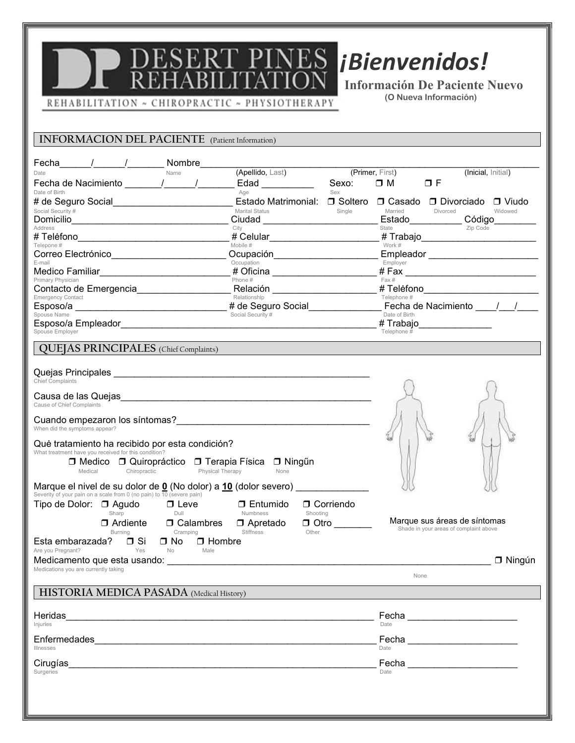# **ES iBienvenidos!**

 Información De Paciente Nuevo (O Nueva Información)

REHABILITATION ~ CHIROPRACTIC ~ PHYSIOTHERAPY

### INFORMACION DEL PACIENTE (Patient Information)

l,

| Fecha_______/_______/___________ Nombre________                                                                                                                                                                                | (Apellido, Last)                |                                                                                                                       | (Primer, First) |                                         |
|--------------------------------------------------------------------------------------------------------------------------------------------------------------------------------------------------------------------------------|---------------------------------|-----------------------------------------------------------------------------------------------------------------------|-----------------|-----------------------------------------|
| Name<br>Date<br>Date of Birth                                                                                                                                                                                                  | Edad __________<br>Age          | Sexo:<br>Sex                                                                                                          | $\Box$ M        | (Inicial, Initial)<br>$\Box$ F          |
|                                                                                                                                                                                                                                | Estado Matrimonial:             |                                                                                                                       |                 | □ Soltero □ Casado □ Divorciado □ Viudo |
| Social Security # The Contract of the Contract of the Contract of the Contract of the Contract of the Contract of the Contract of the Contract of the Contract of the Contract of the Contract of the Contract of the Contract | <b>Marital Status</b>           | Single                                                                                                                | Married         | <b>Divorced</b><br>Widowed              |
| Address                                                                                                                                                                                                                        | City                            |                                                                                                                       |                 | Estado<br>State Código<br>Zip Code      |
| Telepone #                                                                                                                                                                                                                     | Mobile #                        | # Celular________________________                                                                                     | Work $\#$       | # Trabajo________________________       |
| Correo Electrónico                                                                                                                                                                                                             | Ocupación______________________ |                                                                                                                       |                 |                                         |
| E-mail                                                                                                                                                                                                                         | Occupation                      | # Oficina _______________________                                                                                     | Employer        |                                         |
| Primary Physician<br>Contacto de Emergencia                                                                                                                                                                                    | Phone #                         | Relación <b>Marcadon de la contrata de la contrata de la contrata de la contrata de la contrata de la contrata de</b> | Fax#            | # Telefono_________________________     |
| Emergency Contact                                                                                                                                                                                                              | Relationship                    |                                                                                                                       | Telephone #     |                                         |
| Esposo/a<br>Spouse Name                                                                                                                                                                                                        | Social Security #               |                                                                                                                       | Date of Birth   |                                         |
| Spouse Employer                                                                                                                                                                                                                |                                 |                                                                                                                       | Telephone #     | # Trabajo________________               |
| <b>QUEJAS PRINCIPALES</b> (Chief Complaints)                                                                                                                                                                                   |                                 |                                                                                                                       |                 |                                         |
|                                                                                                                                                                                                                                |                                 |                                                                                                                       |                 |                                         |
| Chief Complaints                                                                                                                                                                                                               |                                 |                                                                                                                       |                 |                                         |
| Causa de las Quejas et al. et al. et al. et al. et al. et al. et al. et al. et al. et al. et al. et al. et al.                                                                                                                 |                                 |                                                                                                                       |                 |                                         |
| Cause of Chief Complaints                                                                                                                                                                                                      |                                 |                                                                                                                       |                 |                                         |
|                                                                                                                                                                                                                                |                                 |                                                                                                                       |                 |                                         |
| When did the symptoms appear?                                                                                                                                                                                                  |                                 |                                                                                                                       |                 |                                         |
| Que tratamiento ha recibido por esta condición?<br>What treatment have you received for this condition?                                                                                                                        |                                 |                                                                                                                       |                 |                                         |
| □ Medico □ Quiropráctico □ Terapia Física □ Ningűn                                                                                                                                                                             |                                 |                                                                                                                       |                 |                                         |
| Medical Chiropractic Physical Therapy                                                                                                                                                                                          | None                            |                                                                                                                       |                 |                                         |
| Marque el nivel de su dolor de $\underline{0}$ (No dolor) a $\underline{10}$ (dolor severo)                                                                                                                                    |                                 |                                                                                                                       |                 |                                         |
| Severity of your pain on a scale from 0 (no pain) to 10 (severe pain)<br>Tipo de Dolor: □ Agudo □ Leve<br>Dull                                                                                                                 | <b>D</b> Entumido               | □ Corriendo                                                                                                           |                 |                                         |
| Sharp<br>□ Ardiente □ Calambres                                                                                                                                                                                                | Numbness<br>□ Apretado          | Shooting<br>$\Box$ Otro                                                                                               |                 | Marque sus áreas de síntomas            |
| <b>Burning</b><br>Cramping                                                                                                                                                                                                     | Stiffness                       | Other                                                                                                                 |                 | Shade in your areas of complaint above  |
| Esta embarazada? □ Si<br>□ No □ Hombre<br>Yes<br>No No<br>Are you Pregnant?                                                                                                                                                    | Male                            |                                                                                                                       |                 |                                         |
|                                                                                                                                                                                                                                |                                 |                                                                                                                       |                 | $\Box$ Ningún                           |
| Medications you are currently taking                                                                                                                                                                                           |                                 |                                                                                                                       | None            |                                         |
| <b>HISTORIA MEDICA PASADA</b> (Medical History)                                                                                                                                                                                |                                 |                                                                                                                       |                 |                                         |
|                                                                                                                                                                                                                                |                                 |                                                                                                                       |                 |                                         |
| Heridas                                                                                                                                                                                                                        |                                 |                                                                                                                       |                 |                                         |
| Iniuries                                                                                                                                                                                                                       |                                 |                                                                                                                       | Date            |                                         |
|                                                                                                                                                                                                                                |                                 |                                                                                                                       |                 |                                         |
| Enfermedades                                                                                                                                                                                                                   |                                 |                                                                                                                       | Date            |                                         |
| <b>Illnesses</b>                                                                                                                                                                                                               |                                 |                                                                                                                       |                 |                                         |
| Cirugías<br>Surgeries                                                                                                                                                                                                          |                                 |                                                                                                                       | Date            |                                         |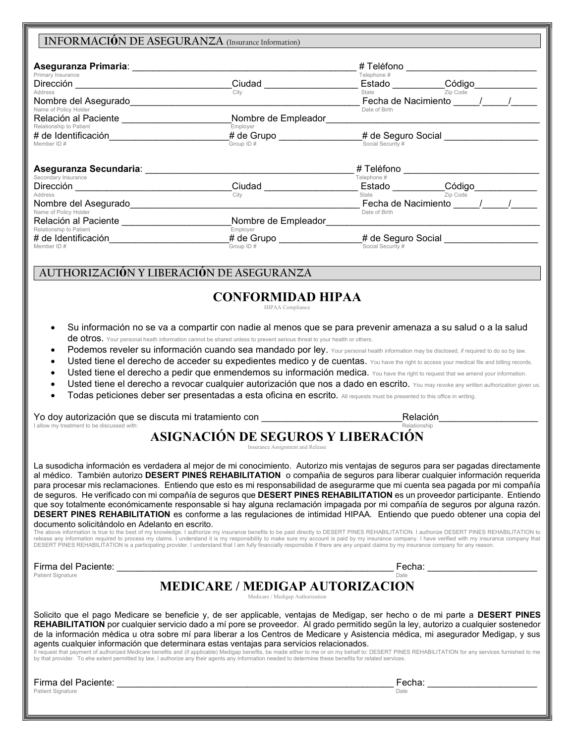### INFORMACIÓN DE ASEGURANZA (Insurance Information) Aseguranza Primaria: \_\_\_\_\_\_\_\_\_\_\_\_\_\_\_\_\_\_\_\_\_\_\_\_\_\_\_\_\_\_\_\_\_\_\_\_\_\_\_\_\_\_\_ # Telėfono \_\_\_\_\_\_\_\_\_\_\_\_\_\_\_\_\_\_\_\_\_\_\_\_\_ Primary Insurance  $\text{Direcci\'on}$   $\text{Cödigo}$   $\text{Cödigo}$ Address City State Zip Code Nombre del Asegurado\_\_\_\_\_\_\_\_\_\_\_\_\_\_\_\_\_\_\_\_\_\_\_\_\_\_\_\_\_\_\_\_\_\_\_\_\_\_\_\_\_\_\_\_ Fecha de Nacimiento \_\_\_\_\_/\_\_\_\_\_/\_\_\_\_\_ Name of Policy Holder Date of Birth Relación al Paciente \_\_\_\_\_\_\_\_\_\_\_\_\_\_\_\_\_\_\_\_\_\_\_\_\_\_\_Nombre de Empleador\_\_\_ Relationship to Patient<br> **# de Identificación**<br>
# **de Grupo** # de Identificación\_\_\_\_\_\_\_\_\_\_\_\_\_\_\_\_\_\_\_\_\_\_\_# de Grupo \_\_\_\_\_\_\_\_\_\_\_\_\_\_\_\_# de Seguro Social \_\_\_\_\_\_\_\_\_\_\_\_\_\_\_\_\_\_ Social Security # Aseguranza Secundaria: \_\_\_\_\_\_\_\_\_\_\_\_\_\_\_\_\_\_\_\_\_\_\_\_\_\_\_\_\_\_\_\_\_\_\_\_\_\_\_\_ # Telėfono \_\_\_\_\_\_\_\_\_\_\_\_\_\_\_\_\_\_\_\_\_\_\_\_\_\_ Secondary Insurance Telephone # Dirección \_\_\_\_\_\_\_\_\_\_\_\_\_\_\_\_\_\_\_\_\_\_\_\_\_\_\_\_\_\_Ciudad \_\_\_\_\_\_\_\_\_\_\_\_\_\_\_\_\_\_ Estado \_\_\_\_\_\_\_\_\_\_Código\_\_\_\_\_\_\_\_\_\_\_\_ Address City State Zip Code Nombre del Asegurado\_\_\_\_\_\_\_\_\_\_\_\_\_\_\_\_\_\_\_\_\_\_\_\_\_\_\_\_\_\_\_\_\_\_\_\_\_\_\_\_\_\_\_\_ Fecha de Nacimiento \_\_\_\_\_/\_\_\_\_\_/\_\_\_\_\_ Name of Policy Holder Date of Birth Relación al Paciente \_\_\_\_\_\_\_\_\_\_\_\_\_\_\_\_\_\_\_\_\_Nombre de Empleador\_\_\_\_\_\_\_\_\_\_\_\_\_\_\_\_\_\_\_\_\_\_\_\_\_\_\_\_\_\_\_\_\_\_\_\_\_\_\_\_\_ Relationship to Patient<br> **# de Identificación**<br>
# **de Grupo** # de Identificación\_\_\_\_\_\_\_\_\_\_\_\_\_\_\_\_\_\_\_\_\_\_\_# de Grupo \_\_\_\_\_\_\_\_\_\_\_\_\_\_\_\_# de Seguro Social \_\_\_\_\_\_\_\_\_\_\_\_\_\_\_\_\_\_ Member ID  $\#$  Social Security  $\#$  Group ID  $\#$  Group ID  $\#$  Social Security  $\#$ AUTHORIZACIÓN Y LIBERACIÓN DE ASEGURANZA CONFORMIDAD HIPAA HIPAA Compliance Su información no se va a compartir con nadie al menos que se para prevenir amenaza a su salud o a la salud de otros. Your personal heath information cannot be shared unless to prevent serious threat to your health or others. Podemos reveler su información cuando sea mandado por ley. Your personal health information may be disclosed, if required to do so by law. Usted tiene el derecho de acceder su expedientes medico y de cuentas. You have the right to access your medical file and billing records.

- 
- Usted tiene el derecho a pedir que enmendemos su información medica. You have the right to request that we amend your information.
- Usted tiene el derecho a revocar cualquier autorización que nos a dado en escrito. You may revoke any written authorization given us.
- Todas peticiones deber ser presentadas a esta oficina en escrito. All requests must be presented to this office in writing.

Yo doy autorización que se discuta mi tratamiento con \_\_\_\_\_\_\_\_\_\_\_\_\_\_\_\_\_\_\_\_\_\_\_\_\_\_\_Relación\_\_\_\_\_\_\_\_\_\_\_\_\_\_\_\_\_\_\_ I allow my treatment to be discussed with: Relationship

#### ASIGNACIÓN DE SEGUROS Y LIBERACIÓN Insurance Assignment and Release

La susodicha información es verdadera al mejor de mi conocimiento. Autorizo mis ventajas de seguros para ser pagadas directamente al médico. También autorizo DESERT PINES REHABILITATION o compañía de seguros para liberar cualquier información requerida para procesar mis reclamaciones. Entiendo que esto es mi responsabilidad de asegurarme que mi cuenta sea pagada por mi compaňía de seguros. He verificado con mi compañía de seguros que DESERT PINES REHABILITATION es un proveedor participante. Entiendo que soy totalmente económicamente responsable si hay alguna reclamación impagada por mi compaňía de seguros por alguna razón. DESERT PINES REHABILITATION es conforme a las regulaciones de intimidad HIPAA. Entiendo que puedo obtener una copia del documento solicitándolo en Adelanto en escrito.

The above information is true to the best of my knowledge. I authorize my insurance benefits to be paid directly to DESERT PINES REHABILITATION. I authorize DESERT PINES REHABILITATION to<br>release any information required t DESERT PINES REHABILITATION is a participating provider. I understand that I am fully financially responsible if there are any unpaid claims by my insurance company for any reason.

 $\frac{Firma \text{ del} \text{ Pacific}}{Det}$ Patient Signature Date Date of the Second Library of the Date of the Date of the Date of the Date of the Date of the Date of the Date of the Date of the Date of the Date of the Date of the Date of the Date of the Date of t

### MEDICARE / MEDIGAP AUTORIZACION

Medicare / Medigap Authorization

Solicito que el pago Medicare se beneficie y, de ser applicable, ventajas de Medigap, ser hecho o de mi parte a DESERT PINES REHABILITATION por cualquier servicio dado a mí pore se proveedor. Al grado permitido según la ley, autorizo a cualquier sostenedor de la información mėdica u otra sobre mí para liberar a los Centros de Medicare y Asistencia mėdica, mi asegurador Medigap, y sus agents cualquier información que determinara estas ventajas para servicios relacionados.

Il request that payment of authorized Medicare benefits and (if applicable) Medigap benefits, be made either to me or on my behalf to: DESERT PINES REHABILITATION for any services furnished to me by that provider. To ehe extent permitted by law, I authorize any their agents any information needed to determine these benefits for related services.

Firma del Paciente: \_\_\_\_\_\_\_\_\_\_\_\_\_\_\_\_\_\_\_\_\_\_\_\_\_\_\_\_\_\_\_\_\_\_\_\_\_\_\_\_\_\_\_\_\_\_\_\_\_\_\_\_\_ Fecha: \_\_\_\_\_\_\_\_\_\_\_\_\_\_\_\_\_\_\_\_\_ Patient Signature Date Date of the Second Control of the Date of the Date of the Date of the Date of the Date of the Date of the Date of the Date of the Date of the Date of the Date of the Date of the Date of the Date of t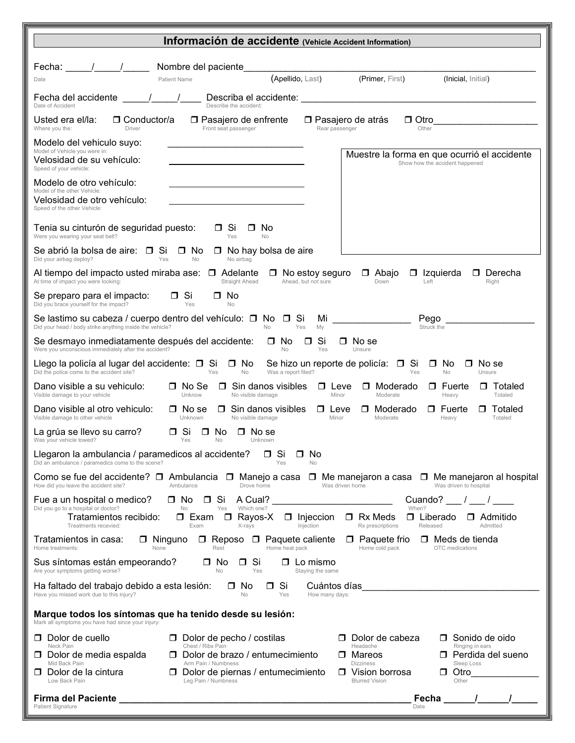| Información de accidente (Vehicle Accident Information)                                                                                                                                                                                                                                                                                                                                          |
|--------------------------------------------------------------------------------------------------------------------------------------------------------------------------------------------------------------------------------------------------------------------------------------------------------------------------------------------------------------------------------------------------|
| Nombre del paciente<br>Fecha:<br>(Primer, First)<br>(Apellido, Last)<br>(Inicial, Initial)<br>Patient Name<br>Date                                                                                                                                                                                                                                                                               |
| Fecha del accidente<br>Date of Accident<br>Describe the accident:                                                                                                                                                                                                                                                                                                                                |
| Usted era el/la:<br>$\Box$ Conductor/a<br>$\Box$ Otro<br>$\Box$ Pasajero de enfrente<br>□ Pasajero de atrás<br>Front seat passenger<br>Other<br>Where you the:<br>Driver<br>Rear passenger                                                                                                                                                                                                       |
| Modelo del vehiculo suyo:<br>Model of Vehicle you were in:<br>Muestre la forma en que ocurrió el accidente<br>Velosidad de su vehículo:<br>Show how the accident happened<br>Speed of your vehicle:                                                                                                                                                                                              |
| Modelo de otro vehículo:<br>Model of the other Vehicle:<br>Velosidad de otro vehículo:<br>Speed of the other Vehicle:                                                                                                                                                                                                                                                                            |
| Tenia su cinturón de seguridad puesto:<br>□ Si<br>□ No<br>Were you wearing your seat belt?<br>Yes<br><b>No</b>                                                                                                                                                                                                                                                                                   |
| Se abrió la bolsa de aire: □ Si<br>$\Box$ No<br>$\Box$ No hay bolsa de aire<br>Yes<br><b>No</b><br>No airbag<br>Did your airbag deploy?                                                                                                                                                                                                                                                          |
| Al tiempo del impacto usted miraba ase:<br>$\Box$ Adelante<br>$\Box$ Derecha<br>$\Box$ No estoy seguro<br>□ Abajo<br>$\Box$ Izquierda<br>At time of impact you were looking:<br>Straight Ahead<br>Ahead, but not sure<br>Down<br>Left<br>Right                                                                                                                                                   |
| $\Box$ Si<br>Se preparo para el impacto:<br>. No<br>П.<br>Did you brace yourself for the impact?<br>Yes<br>No                                                                                                                                                                                                                                                                                    |
| Se lastimo su cabeza / cuerpo dentro del vehículo: $\Box$ No $\Box$<br>.Si<br>Mi<br>Pego<br>Did your head / body strike anything inside the vehicle?<br><b>No</b><br>Yes<br>My<br>Struck the                                                                                                                                                                                                     |
| Si<br>Se desmayo inmediatamente después del accidente:<br>□ No<br>No se<br>$\Box$<br>П.<br>Were you unconscious immediately after the accident?<br>No<br>Yes<br>Unsure                                                                                                                                                                                                                           |
| Llego la policía al lugar del accidente: □ Si<br>Se hizo un reporte de policía: □ Si<br>No se<br>$\Box$ No<br>□ No<br>П.<br>Did the police come to the accident site?<br>Was a report filed?<br>Yes<br><b>No</b><br>Yes<br><b>No</b><br>Unsure                                                                                                                                                   |
| □ No Se<br>$\Box$ Sin danos visibles<br>Fuerte<br>Dano visible a su vehiculo:<br>$\Box$ Leve<br>Moderado<br>П.<br>Totaled<br>$\Box$<br>Visible damage to your vehicle<br>Unknow<br>No visible damage<br>Minor<br>Moderate<br>Heavy<br>Totaled                                                                                                                                                    |
| Dano visible al otro vehiculo:<br>$\Box$ No se<br>$\Box$ Sin danos visibles<br>Moderado<br>Fuerte<br>Totaled<br>$\Box$ Leve<br>П.<br>$\Box$<br>$\Box$<br>Visible damage to other vehicle<br>Unknown<br>No visible damage<br>Minor<br>Moderate<br>Totaled<br>Heavy                                                                                                                                |
| .Si<br>No.<br>La grúa se llevo su carro?<br>No se<br>$\Box$<br>П.<br>Was your vehicle towed?<br>Yes<br><b>No</b><br>Unknown                                                                                                                                                                                                                                                                      |
| Llegaron la ambulancia / paramedicos al accidente?<br>□ Si<br>No<br>$\Box$<br>Did an ambulance / paramedics come to the scene?<br>Yes<br><b>No</b>                                                                                                                                                                                                                                               |
| Como se fue del accidente? □ Ambulancia □ Manejo a casa □ Me manejaron a casa □ Me manejaron al hospital<br>How did you leave the accident site?<br>Ambulance<br>Drove home<br>Was driven home<br>Was driven to hospital                                                                                                                                                                         |
| $\Box$ Si<br>A Cual?<br>Cuando? /<br>Fue a un hospital o medico?<br>$\square$ No<br>Did you go to a hospital or doctor?<br>Which one?<br>When?<br>No<br>Yes<br>Tratamientos recibido:<br>$\Box$ Rayos-X<br>$\Box$ Rx Meds<br>$\Box$ Liberado<br>□ Exam<br>$\Box$ Admitido<br>$\Box$ Injeccion<br>Treatments recevied:<br>Exam<br>X-rays<br>Injection<br>Rx prescriptions<br>Released<br>Admitted |
| $\Box$ Reposo<br><b>D</b> Paquete caliente<br>□ Ninguno<br>$\Box$ Paquete frio<br>$\Box$ Meds de tienda<br>Tratamientos in casa:<br>Home treatments:<br>None<br>Rest<br>Home heat pack<br>Home cold pack<br>OTC medications                                                                                                                                                                      |
| .Si<br>Sus síntomas están empeorando?<br>$\Box$<br>$\Box$ Lo mismo<br>□ No<br>Are your symptoms getting worse?<br>No<br>Yes<br>Staying the same                                                                                                                                                                                                                                                  |
| $\Box$ Si<br>Ha faltado del trabajo debido a esta lesión:<br>Cuántos días<br>No<br>□<br>Have you missed work due to this injury?<br>Yes<br>How many days:<br>No                                                                                                                                                                                                                                  |
| Marque todos los síntomas que ha tenido desde su lesión:<br>Mark all symptoms you have had since your injury:                                                                                                                                                                                                                                                                                    |
| Dolor de cuello<br>Dolor de pecho / costilas<br>Dolor de cabeza<br>$\Box$ Sonido de oido<br>$\Box$<br>$\Box$<br>Chest / Ribs Pain<br>Neck Pain<br>Headache<br>Ringing in ears                                                                                                                                                                                                                    |
| $\Box$ Dolor de brazo / entumecimiento<br>□ Perdida del sueno<br>D Dolor de media espalda<br>Mareos<br>П.<br>Mid Back Pain<br>Arm Pain / Numbness<br><b>Dizziness</b><br>Sleep Loss                                                                                                                                                                                                              |
| Dolor de piernas / entumecimiento<br>Dolor de la cintura<br>□ Vision borrosa<br>Otro<br>□.<br>0<br>Leg Pain / Numbness<br>Low Back Pain<br><b>Blurred Vision</b><br>Other                                                                                                                                                                                                                        |
| Firma del Paciente<br>Fecha<br>Patient Signature<br>Date                                                                                                                                                                                                                                                                                                                                         |